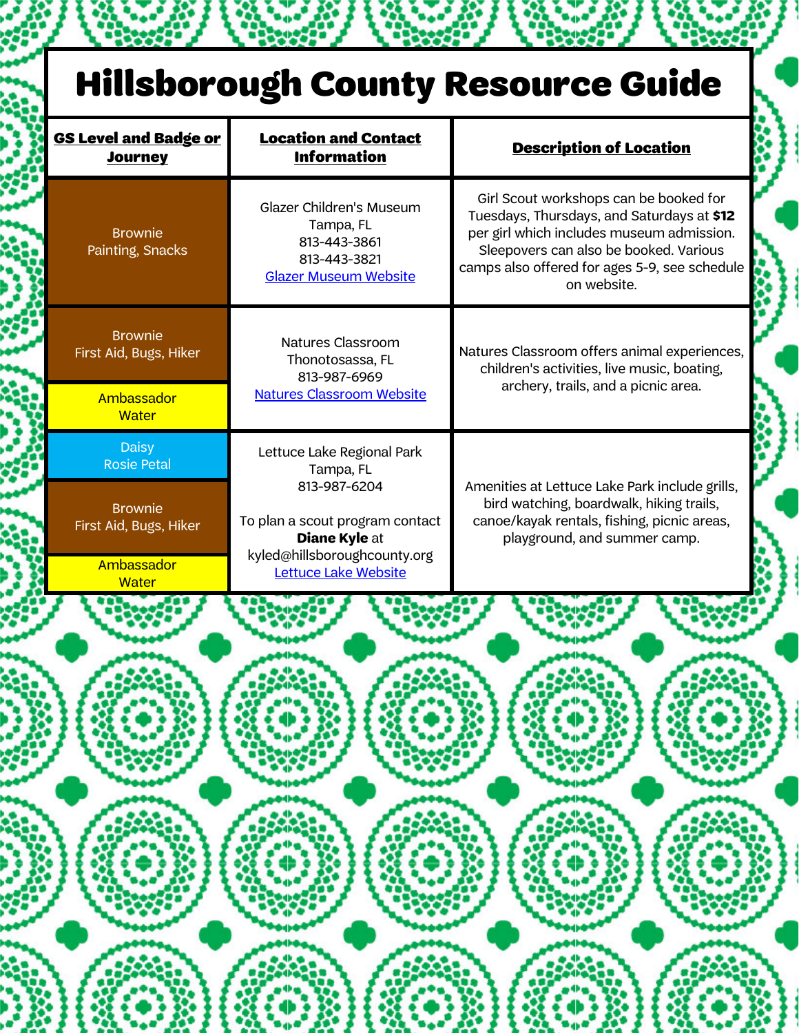## Hillsborough County Resource Guide

| <b>GS Level and Badge or</b><br><b>Journey</b> | <b>Location and Contact</b><br><b>Information</b>                                                     | <b>Description of Location</b>                                                                                                                                                                                                              |  |
|------------------------------------------------|-------------------------------------------------------------------------------------------------------|---------------------------------------------------------------------------------------------------------------------------------------------------------------------------------------------------------------------------------------------|--|
| <b>Brownie</b><br>Painting, Snacks             | Glazer Children's Museum<br>Tampa, FL<br>813-443-3861<br>813-443-3821<br><b>Glazer Museum Website</b> | Girl Scout workshops can be booked for<br>Tuesdays, Thursdays, and Saturdays at \$12<br>per girl which includes museum admission.<br>Sleepovers can also be booked. Various<br>camps also offered for ages 5-9, see schedule<br>on website. |  |
| <b>Brownie</b><br>First Aid, Bugs, Hiker       | Natures Classroom<br>Thonotosassa, FL<br>813-987-6969                                                 | Natures Classroom offers animal experiences,<br>children's activities, live music, boating,                                                                                                                                                 |  |
| Ambassador<br><b>Water</b>                     | <b>Natures Classroom Website</b>                                                                      | archery, trails, and a picnic area.                                                                                                                                                                                                         |  |
| <b>Daisy</b><br><b>Rosie Petal</b>             | Lettuce Lake Regional Park<br>Tampa, FL<br>813-987-6204                                               | Amenities at Lettuce Lake Park include grills,                                                                                                                                                                                              |  |
| <b>Brownie</b><br>First Aid, Bugs, Hiker       | To plan a scout program contact<br><b>Diane Kyle at</b>                                               | bird watching, boardwalk, hiking trails,<br>canoe/kayak rentals, fishing, picnic areas,<br>playground, and summer camp.                                                                                                                     |  |
| Ambassador<br><b>Water</b>                     | kyled@hillsboroughcounty.org<br>Lettuce Lake Website                                                  |                                                                                                                                                                                                                                             |  |
|                                                |                                                                                                       |                                                                                                                                                                                                                                             |  |
|                                                |                                                                                                       |                                                                                                                                                                                                                                             |  |
|                                                |                                                                                                       |                                                                                                                                                                                                                                             |  |
|                                                |                                                                                                       |                                                                                                                                                                                                                                             |  |
|                                                |                                                                                                       |                                                                                                                                                                                                                                             |  |
|                                                |                                                                                                       |                                                                                                                                                                                                                                             |  |
|                                                |                                                                                                       |                                                                                                                                                                                                                                             |  |
|                                                |                                                                                                       |                                                                                                                                                                                                                                             |  |
|                                                |                                                                                                       |                                                                                                                                                                                                                                             |  |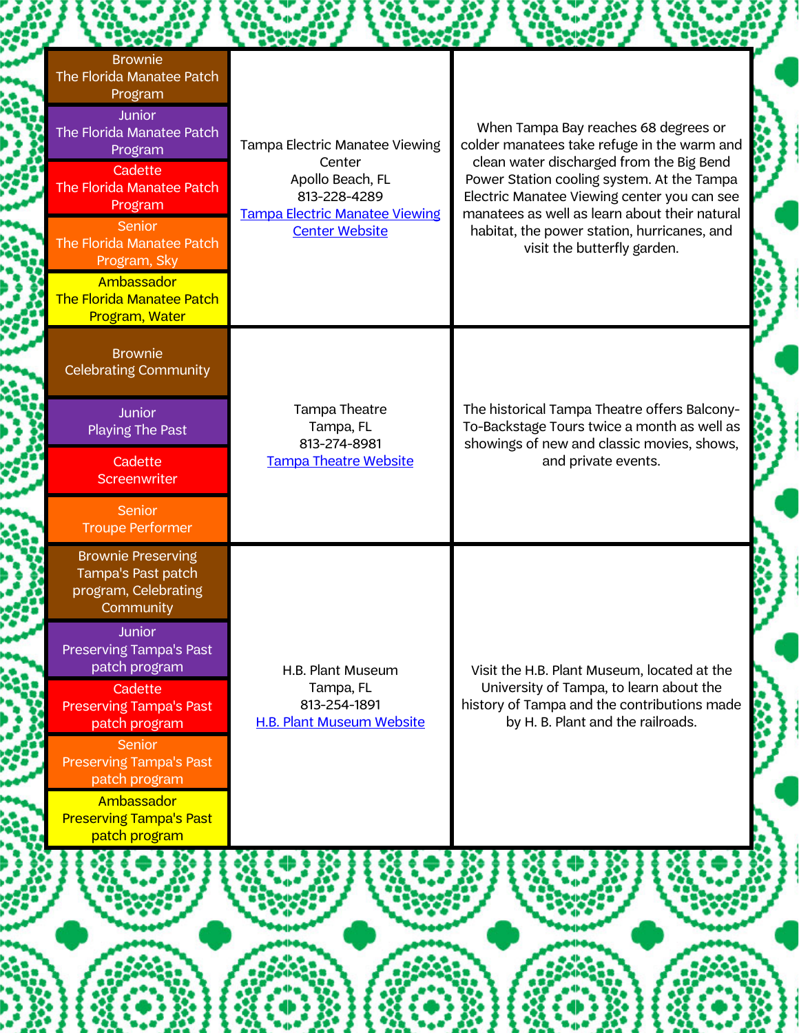| <b>Brownie</b><br>The Florida Manatee Patch<br>Program<br><b>Junior</b><br>The Florida Manatee Patch<br>Program<br>Cadette<br>The Florida Manatee Patch<br>Program<br>Senior<br>The Florida Manatee Patch<br>Program, Sky<br>Ambassador<br><b>The Florida Manatee Patch</b><br>Program, Water                                                               | Tampa Electric Manatee Viewing<br>Center<br>Apollo Beach, FL<br>813-228-4289<br><b>Tampa Electric Manatee Viewing</b><br><b>Center Website</b> | When Tampa Bay reaches 68 degrees or<br>colder manatees take refuge in the warm and<br>clean water discharged from the Big Bend<br>Power Station cooling system. At the Tampa<br>Electric Manatee Viewing center you can see<br>manatees as well as learn about their natural<br>habitat, the power station, hurricanes, and<br>visit the butterfly garden. |
|-------------------------------------------------------------------------------------------------------------------------------------------------------------------------------------------------------------------------------------------------------------------------------------------------------------------------------------------------------------|------------------------------------------------------------------------------------------------------------------------------------------------|-------------------------------------------------------------------------------------------------------------------------------------------------------------------------------------------------------------------------------------------------------------------------------------------------------------------------------------------------------------|
| <b>Brownie</b><br><b>Celebrating Community</b><br><b>Junior</b><br>Playing The Past<br>Cadette<br>Screenwriter<br>Senior<br><b>Troupe Performer</b>                                                                                                                                                                                                         | Tampa Theatre<br>Tampa, FL<br>813-274-8981<br><b>Tampa Theatre Website</b>                                                                     | The historical Tampa Theatre offers Balcony-<br>To-Backstage Tours twice a month as well as<br>showings of new and classic movies, shows,<br>and private events.                                                                                                                                                                                            |
| <b>Brownie Preserving</b><br>Tampa's Past patch<br>program, Celebrating<br>Community<br><b>Junior</b><br><b>Preserving Tampa's Past</b><br>patch program<br>Cadette<br><b>Preserving Tampa's Past</b><br>patch program<br><b>Senior</b><br><b>Preserving Tampa's Past</b><br>patch program<br>Ambassador<br><b>Preserving Tampa's Past</b><br>patch program | H.B. Plant Museum<br>Tampa, FL<br>813-254-1891<br>H.B. Plant Museum Website                                                                    | Visit the H.B. Plant Museum, located at the<br>University of Tampa, to learn about the<br>history of Tampa and the contributions made<br>by H. B. Plant and the railroads.                                                                                                                                                                                  |
|                                                                                                                                                                                                                                                                                                                                                             |                                                                                                                                                |                                                                                                                                                                                                                                                                                                                                                             |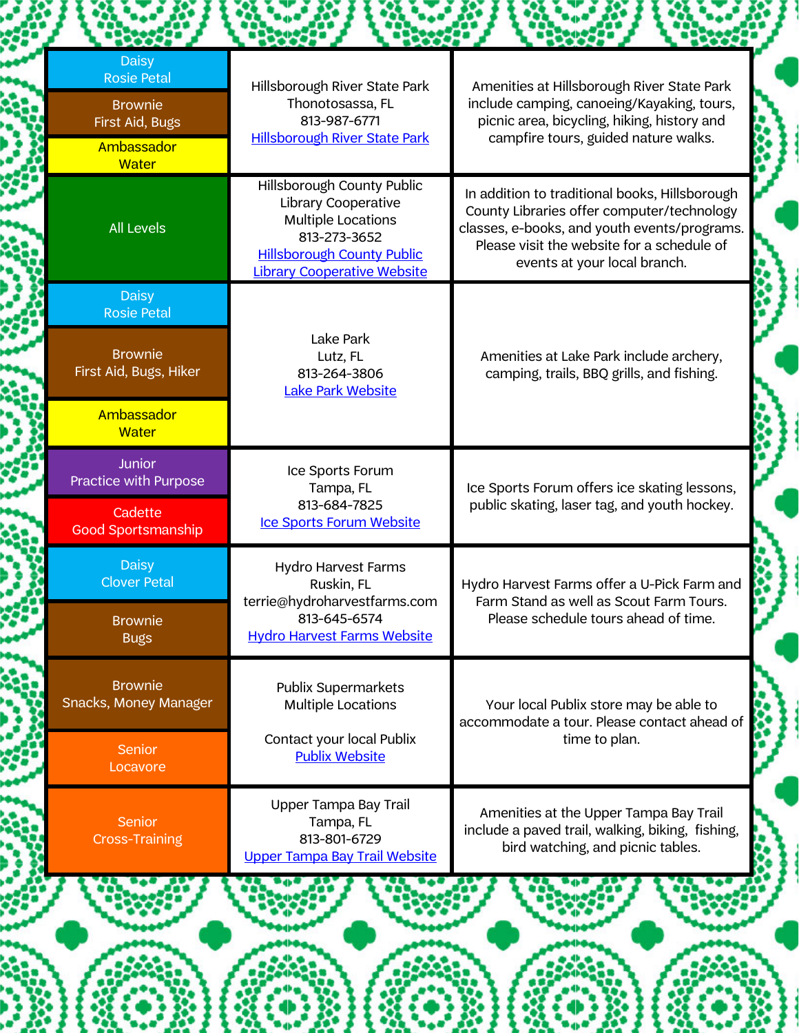| <b>Daisy</b><br><b>Rosie Petal</b>       | Hillsborough River State Park                                                                                                                                      | Amenities at Hillsborough River State Park                                                                                                                                                                                 |  |
|------------------------------------------|--------------------------------------------------------------------------------------------------------------------------------------------------------------------|----------------------------------------------------------------------------------------------------------------------------------------------------------------------------------------------------------------------------|--|
| <b>Brownie</b><br>First Aid, Bugs        | Thonotosassa, FL<br>813-987-6771<br><b>Hillsborough River State Park</b>                                                                                           | include camping, canoeing/Kayaking, tours,<br>picnic area, bicycling, hiking, history and<br>campfire tours, guided nature walks.                                                                                          |  |
| Ambassador<br><b>Water</b>               |                                                                                                                                                                    |                                                                                                                                                                                                                            |  |
| <b>All Levels</b>                        | Hillsborough County Public<br>Library Cooperative<br>Multiple Locations<br>813-273-3652<br><b>Hillsborough County Public</b><br><b>Library Cooperative Website</b> | In addition to traditional books, Hillsborough<br>County Libraries offer computer/technology<br>classes, e-books, and youth events/programs.<br>Please visit the website for a schedule of<br>events at your local branch. |  |
| <b>Daisy</b><br><b>Rosie Petal</b>       |                                                                                                                                                                    |                                                                                                                                                                                                                            |  |
| <b>Brownie</b><br>First Aid, Bugs, Hiker | Lake Park<br>Lutz, FL<br>813-264-3806<br><b>Lake Park Website</b>                                                                                                  | Amenities at Lake Park include archery,<br>camping, trails, BBQ grills, and fishing.                                                                                                                                       |  |
| Ambassador<br><b>Water</b>               |                                                                                                                                                                    |                                                                                                                                                                                                                            |  |
| <b>Junior</b><br>Practice with Purpose   | Ice Sports Forum<br>Tampa, FL                                                                                                                                      | Ice Sports Forum offers ice skating lessons,                                                                                                                                                                               |  |
| Cadette<br><b>Good Sportsmanship</b>     | 813-684-7825<br>Ice Sports Forum Website                                                                                                                           | public skating, laser tag, and youth hockey.                                                                                                                                                                               |  |
| <b>Daisy</b><br><b>Clover Petal</b>      | <b>Hydro Harvest Farms</b><br>Ruskin, FL<br>terrie@hydroharvestfarms.com                                                                                           | Hydro Harvest Farms offer a U-Pick Farm and<br>Farm Stand as well as Scout Farm Tours.                                                                                                                                     |  |
| <b>Brownie</b><br><b>Bugs</b>            | 813-645-6574<br><b>Hydro Harvest Farms Website</b>                                                                                                                 | Please schedule tours ahead of time.                                                                                                                                                                                       |  |
| <b>Brownie</b><br>Snacks, Money Manager  | <b>Publix Supermarkets</b><br><b>Multiple Locations</b>                                                                                                            | Your local Publix store may be able to<br>accommodate a tour. Please contact ahead of                                                                                                                                      |  |
| <b>Senior</b><br>Locavore                | Contact your local Publix<br><b>Publix Website</b>                                                                                                                 | time to plan.                                                                                                                                                                                                              |  |
| <b>Senior</b><br><b>Cross-Training</b>   | Upper Tampa Bay Trail<br>Tampa, FL<br>813-801-6729<br><b>Upper Tampa Bay Trail Website</b>                                                                         | Amenities at the Upper Tampa Bay Trail<br>include a paved trail, walking, biking, fishing,<br>bird watching, and picnic tables.                                                                                            |  |
|                                          |                                                                                                                                                                    |                                                                                                                                                                                                                            |  |

■ 藤井

X.

**SEARCH**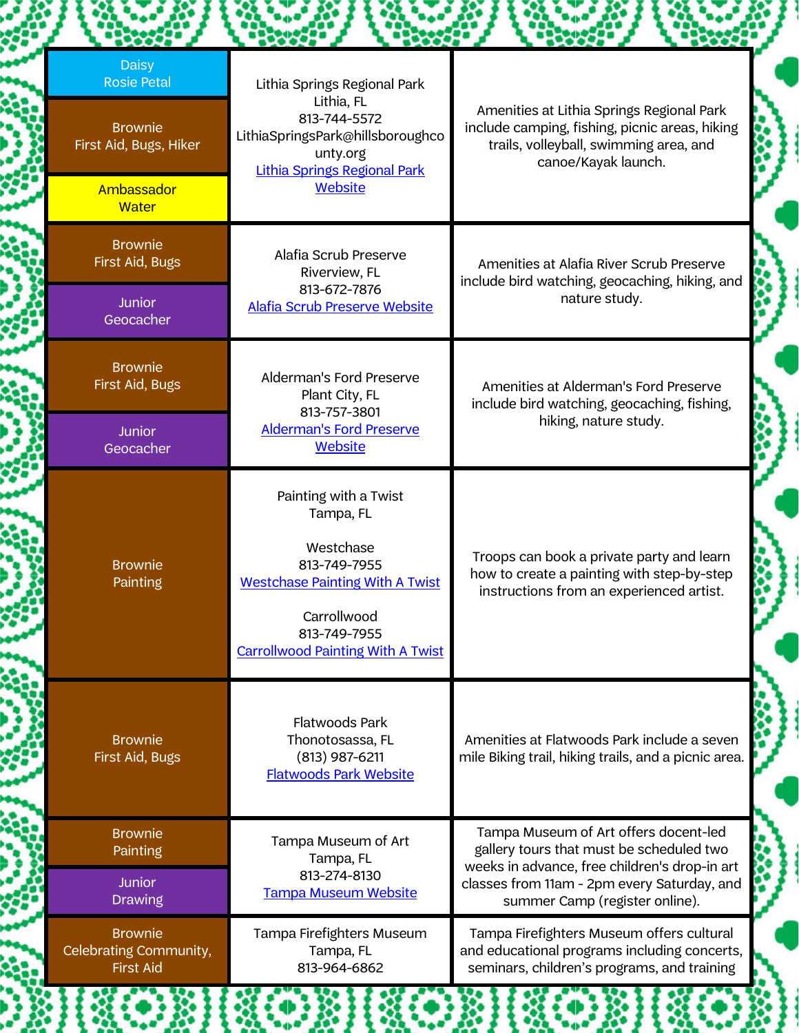| <b>Daisy</b><br><b>Rosie Petal</b>                           | Lithia Springs Regional Park                                                                                                                                                         |                                                                                                                                                              |
|--------------------------------------------------------------|--------------------------------------------------------------------------------------------------------------------------------------------------------------------------------------|--------------------------------------------------------------------------------------------------------------------------------------------------------------|
| <b>Brownie</b><br>First Aid, Bugs, Hiker                     | Lithia, FL<br>813-744-5572<br>LithiaSpringsPark@hillsboroughco<br>unty.org<br><b>Lithia Springs Regional Park</b>                                                                    | Amenities at Lithia Springs Regional Park<br>include camping, fishing, picnic areas, hiking<br>trails, volleyball, swimming area, and<br>canoe/Kayak launch. |
| Ambassador<br><b>Water</b>                                   | Website                                                                                                                                                                              |                                                                                                                                                              |
| <b>Brownie</b><br>First Aid, Bugs                            | Alafia Scrub Preserve<br>Riverview, FL                                                                                                                                               | Amenities at Alafia River Scrub Preserve<br>include bird watching, geocaching, hiking, and                                                                   |
| <b>Junior</b><br>Geocacher                                   | 813-672-7876<br><b>Alafia Scrub Preserve Website</b>                                                                                                                                 | nature study.                                                                                                                                                |
| <b>Brownie</b><br>First Aid, Bugs                            | Alderman's Ford Preserve<br>Plant City, FL<br>813-757-3801                                                                                                                           | Amenities at Alderman's Ford Preserve<br>include bird watching, geocaching, fishing,<br>hiking, nature study.                                                |
| <b>Junior</b><br>Geocacher                                   | <b>Alderman's Ford Preserve</b><br><b>Website</b>                                                                                                                                    |                                                                                                                                                              |
| <b>Brownie</b><br>Painting                                   | Painting with a Twist<br>Tampa, FL<br>Westchase<br>813-749-7955<br><b>Westchase Painting With A Twist</b><br>Carrollwood<br>813-749-7955<br><b>Carrollwood Painting With A Twist</b> | Troops can book a private party and learn<br>how to create a painting with step-by-step<br>instructions from an experienced artist.                          |
| <b>Brownie</b><br>First Aid, Bugs                            | <b>Flatwoods Park</b><br>Thonotosassa, FL<br>$(813)$ 987-6211<br><b>Flatwoods Park Website</b>                                                                                       | Amenities at Flatwoods Park include a seven<br>mile Biking trail, hiking trails, and a picnic area.                                                          |
| <b>Brownie</b><br>Painting                                   | Tampa Museum of Art<br>Tampa, FL                                                                                                                                                     | Tampa Museum of Art offers docent-led<br>gallery tours that must be scheduled two<br>weeks in advance, free children's drop-in art                           |
| <b>Junior</b><br><b>Drawing</b>                              | 813-274-8130<br><b>Tampa Museum Website</b>                                                                                                                                          | classes from 11am - 2pm every Saturday, and<br>summer Camp (register online).                                                                                |
| <b>Brownie</b><br>Celebrating Community,<br><b>First Aid</b> | Tampa Firefighters Museum<br>Tampa, FL<br>813-964-6862                                                                                                                               | Tampa Firefighters Museum offers cultural<br>and educational programs including concerts,<br>seminars, children's programs, and training                     |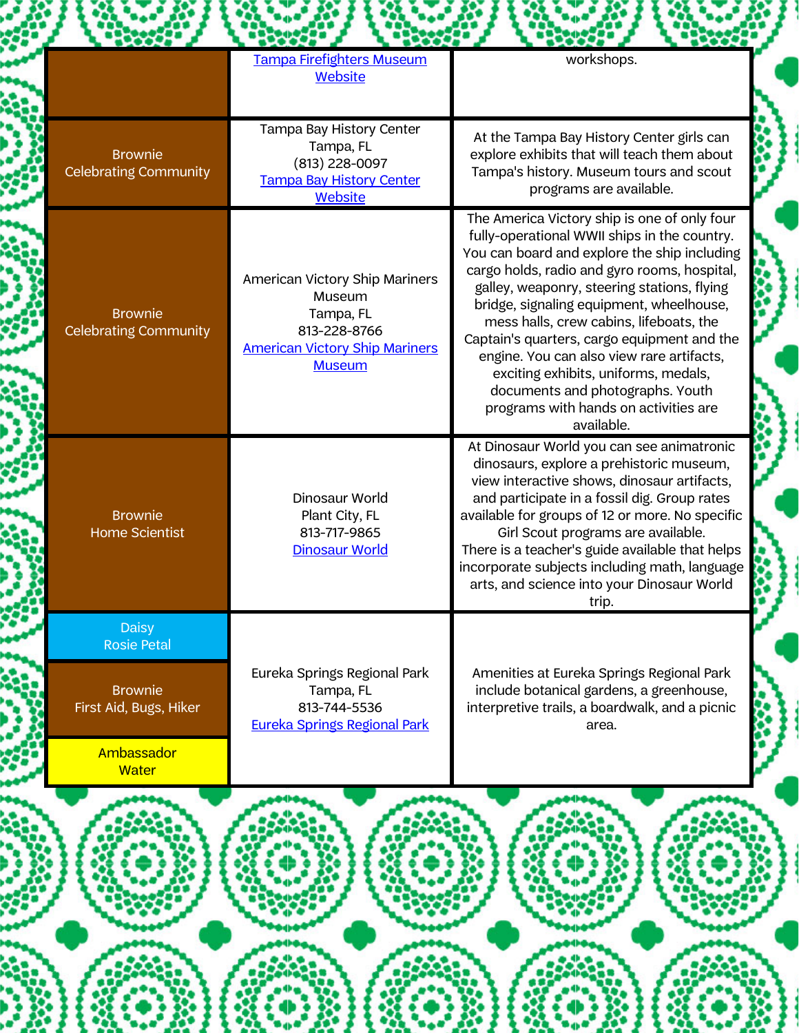|                                                | Tampa Firefighters Museum<br><b>Website</b>                                                                                     | workshops.                                                                                                                                                                                                                                                                                                                                                                                                                                                                                                                                                        |
|------------------------------------------------|---------------------------------------------------------------------------------------------------------------------------------|-------------------------------------------------------------------------------------------------------------------------------------------------------------------------------------------------------------------------------------------------------------------------------------------------------------------------------------------------------------------------------------------------------------------------------------------------------------------------------------------------------------------------------------------------------------------|
| <b>Brownie</b><br><b>Celebrating Community</b> | Tampa Bay History Center<br>Tampa, FL<br>(813) 228-0097<br><b>Tampa Bay History Center</b><br><b>Website</b>                    | At the Tampa Bay History Center girls can<br>explore exhibits that will teach them about<br>Tampa's history. Museum tours and scout<br>programs are available.                                                                                                                                                                                                                                                                                                                                                                                                    |
| <b>Brownie</b><br><b>Celebrating Community</b> | American Victory Ship Mariners<br>Museum<br>Tampa, FL<br>813-228-8766<br><b>American Victory Ship Mariners</b><br><b>Museum</b> | The America Victory ship is one of only four<br>fully-operational WWII ships in the country.<br>You can board and explore the ship including<br>cargo holds, radio and gyro rooms, hospital,<br>galley, weaponry, steering stations, flying<br>bridge, signaling equipment, wheelhouse,<br>mess halls, crew cabins, lifeboats, the<br>Captain's quarters, cargo equipment and the<br>engine. You can also view rare artifacts,<br>exciting exhibits, uniforms, medals,<br>documents and photographs. Youth<br>programs with hands on activities are<br>available. |
| <b>Brownie</b><br><b>Home Scientist</b>        | Dinosaur World<br>Plant City, FL<br>813-717-9865<br><b>Dinosaur World</b>                                                       | At Dinosaur World you can see animatronic<br>dinosaurs, explore a prehistoric museum,<br>view interactive shows, dinosaur artifacts,<br>and participate in a fossil dig. Group rates<br>available for groups of 12 or more. No specific<br>Girl Scout programs are available.<br>There is a teacher's guide available that helps<br>incorporate subjects including math, language<br>arts, and science into your Dinosaur World<br>trip.                                                                                                                          |
| <b>Daisy</b><br><b>Rosie Petal</b>             |                                                                                                                                 |                                                                                                                                                                                                                                                                                                                                                                                                                                                                                                                                                                   |
| <b>Brownie</b><br>First Aid, Bugs, Hiker       | Eureka Springs Regional Park<br>Tampa, FL<br>813-744-5536<br><b>Eureka Springs Regional Park</b>                                | Amenities at Eureka Springs Regional Park<br>include botanical gardens, a greenhouse,<br>interpretive trails, a boardwalk, and a picnic<br>area.                                                                                                                                                                                                                                                                                                                                                                                                                  |
| Ambassador<br><b>Water</b>                     |                                                                                                                                 |                                                                                                                                                                                                                                                                                                                                                                                                                                                                                                                                                                   |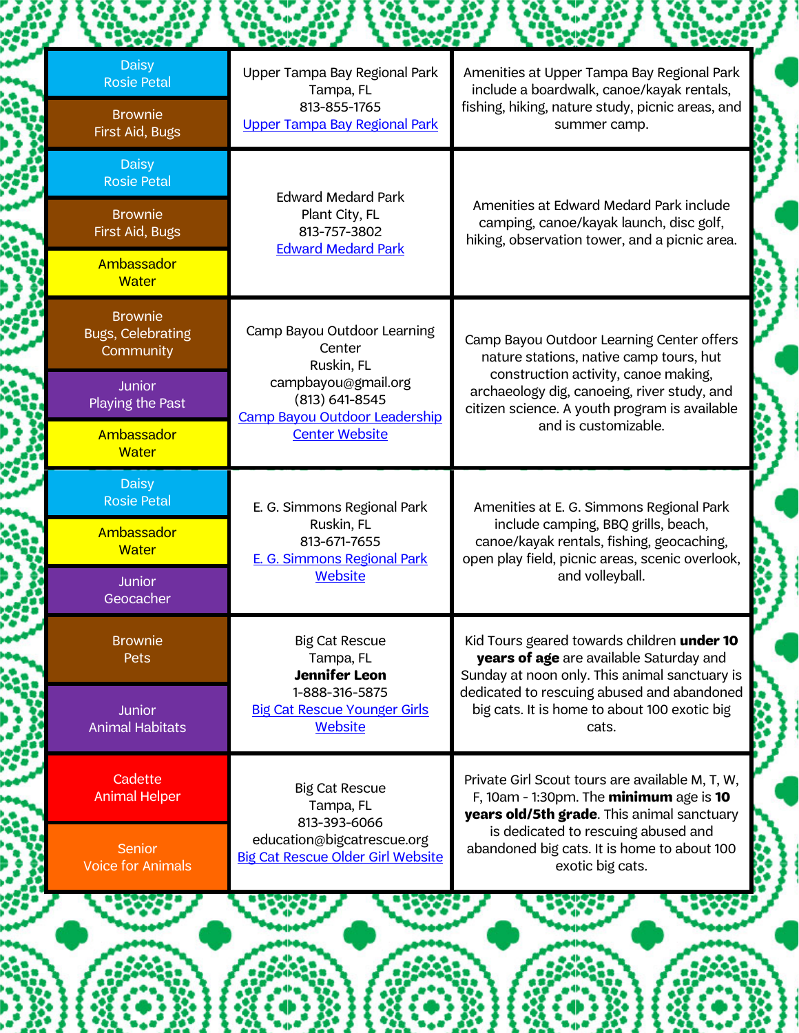| <b>Daisy</b><br><b>Rosie Petal</b>                      | Upper Tampa Bay Regional Park<br>Tampa, FL                                  | Amenities at Upper Tampa Bay Regional Park<br>include a boardwalk, canoe/kayak rentals,                                                      |
|---------------------------------------------------------|-----------------------------------------------------------------------------|----------------------------------------------------------------------------------------------------------------------------------------------|
| <b>Brownie</b><br>First Aid, Bugs                       | 813-855-1765<br><b>Upper Tampa Bay Regional Park</b>                        | fishing, hiking, nature study, picnic areas, and<br>summer camp.                                                                             |
| <b>Daisy</b><br><b>Rosie Petal</b>                      | <b>Edward Medard Park</b>                                                   |                                                                                                                                              |
| <b>Brownie</b><br>First Aid, Bugs                       | Plant City, FL<br>813-757-3802                                              | Amenities at Edward Medard Park include<br>camping, canoe/kayak launch, disc golf,<br>hiking, observation tower, and a picnic area.          |
| Ambassador<br><b>Water</b>                              | <b>Edward Medard Park</b>                                                   |                                                                                                                                              |
| <b>Brownie</b><br><b>Bugs, Celebrating</b><br>Community | Camp Bayou Outdoor Learning<br>Center<br>Ruskin, FL                         | Camp Bayou Outdoor Learning Center offers<br>nature stations, native camp tours, hut                                                         |
| Junior<br>Playing the Past                              | campbayou@gmail.org<br>(813) 641-8545<br>Camp Bayou Outdoor Leadership      | construction activity, canoe making,<br>archaeology dig, canoeing, river study, and<br>citizen science. A youth program is available         |
| Ambassador<br><b>Water</b>                              | <b>Center Website</b>                                                       | and is customizable.                                                                                                                         |
| <b>Daisy</b><br><b>Rosie Petal</b>                      | E. G. Simmons Regional Park                                                 | Amenities at E. G. Simmons Regional Park                                                                                                     |
| Ambassador<br><b>Water</b>                              | Ruskin, FL<br>813-671-7655<br><b>E. G. Simmons Regional Park</b><br>Website | include camping, BBQ grills, beach,<br>canoe/kayak rentals, fishing, geocaching,<br>open play field, picnic areas, scenic overlook,          |
| <b>Junior</b><br>Geocacher                              |                                                                             | and volleyball.                                                                                                                              |
| <b>Brownie</b><br>Pets                                  | <b>Big Cat Rescue</b><br>Tampa, FL<br><b>Jennifer Leon</b>                  | Kid Tours geared towards children under 10<br>years of age are available Saturday and<br>Sunday at noon only. This animal sanctuary is       |
| <b>Junior</b><br><b>Animal Habitats</b>                 | 1-888-316-5875<br><b>Big Cat Rescue Younger Girls</b><br><b>Website</b>     | dedicated to rescuing abused and abandoned<br>big cats. It is home to about 100 exotic big<br>cats.                                          |
| Cadette<br><b>Animal Helper</b>                         | <b>Big Cat Rescue</b><br>Tampa, FL<br>813-393-6066                          | Private Girl Scout tours are available M, T, W,<br>F, 10am - 1:30pm. The $minimum$ age is $10$<br>years old/5th grade. This animal sanctuary |
| Senior<br><b>Voice for Animals</b>                      | education@bigcatrescue.org<br><b>Big Cat Rescue Older Girl Website</b>      | is dedicated to rescuing abused and<br>abandoned big cats. It is home to about 100<br>exotic big cats.                                       |
|                                                         |                                                                             |                                                                                                                                              |

 $\left( \bullet \right)$ 

X,

32 第八

۳

 $\left\{ \begin{matrix} 0 & 0 \\ 0 & 0 \end{matrix} \right\}$ 

腳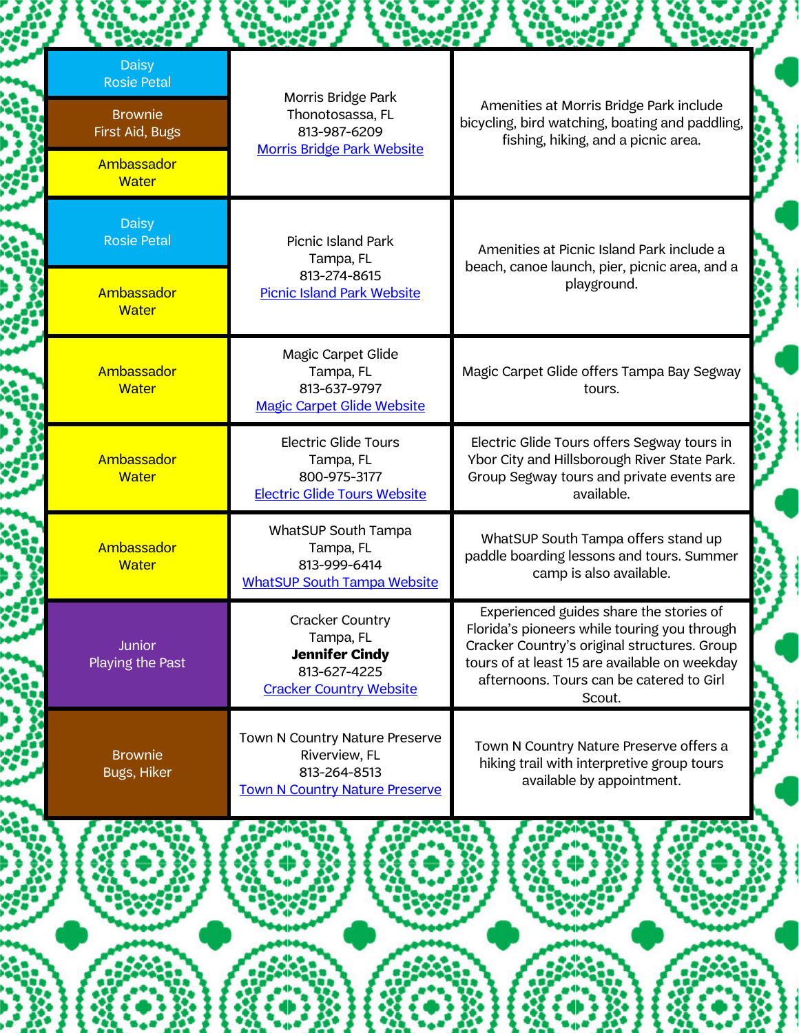| fishing, hiking, and a picnic area.<br><b>Morris Bridge Park Website</b><br>Ambassador<br><b>Water</b><br><b>Daisy</b><br><b>Rosie Petal</b><br>Picnic Island Park<br>Amenities at Picnic Island Park include a<br>Tampa, FL<br>813-274-8615<br>playground.<br>Ambassador<br><b>Picnic Island Park Website</b><br><b>Water</b><br>Magic Carpet Glide<br>Ambassador<br>Tampa, FL<br>813-637-9797<br><b>Water</b><br>tours.<br><b>Magic Carpet Glide Website</b><br><b>Electric Glide Tours</b><br>Ambassador<br>Tampa, FL<br>800-975-3177<br><b>Water</b><br><b>Electric Glide Tours Website</b><br>available.<br>WhatSUP South Tampa<br>WhatSUP South Tampa offers stand up<br>Ambassador<br>Tampa, FL<br>813-999-6414<br><b>Water</b><br>camp is also available.<br><b>WhatSUP South Tampa Website</b><br>Experienced guides share the stories of<br><b>Cracker Country</b><br>Tampa, FL<br><b>Junior</b><br><b>Jennifer Cindy</b><br>Playing the Past<br>813-627-4225<br>afternoons. Tours can be catered to Girl<br><b>Cracker Country Website</b><br>Scout.<br>Town N Country Nature Preserve<br><b>Brownie</b><br>Riverview, FL<br>hiking trail with interpretive group tours<br>Bugs, Hiker<br>813-264-8513<br>available by appointment.<br><b>Town N Country Nature Preserve</b> | beach, canoe launch, pier, picnic area, and a<br>Magic Carpet Glide offers Tampa Bay Segway<br>Electric Glide Tours offers Segway tours in<br>Ybor City and Hillsborough River State Park.<br>Group Segway tours and private events are<br>paddle boarding lessons and tours. Summer<br>Florida's pioneers while touring you through<br>Cracker Country's original structures. Group<br>tours of at least 15 are available on weekday<br>Town N Country Nature Preserve offers a | <b>Daisy</b><br><b>Rosie Petal</b><br><b>Brownie</b><br>First Aid, Bugs | Morris Bridge Park<br>Thonotosassa, FL<br>813-987-6209 | Amenities at Morris Bridge Park include<br>bicycling, bird watching, boating and paddling, |
|-----------------------------------------------------------------------------------------------------------------------------------------------------------------------------------------------------------------------------------------------------------------------------------------------------------------------------------------------------------------------------------------------------------------------------------------------------------------------------------------------------------------------------------------------------------------------------------------------------------------------------------------------------------------------------------------------------------------------------------------------------------------------------------------------------------------------------------------------------------------------------------------------------------------------------------------------------------------------------------------------------------------------------------------------------------------------------------------------------------------------------------------------------------------------------------------------------------------------------------------------------------------------------------------|----------------------------------------------------------------------------------------------------------------------------------------------------------------------------------------------------------------------------------------------------------------------------------------------------------------------------------------------------------------------------------------------------------------------------------------------------------------------------------|-------------------------------------------------------------------------|--------------------------------------------------------|--------------------------------------------------------------------------------------------|
|                                                                                                                                                                                                                                                                                                                                                                                                                                                                                                                                                                                                                                                                                                                                                                                                                                                                                                                                                                                                                                                                                                                                                                                                                                                                                         |                                                                                                                                                                                                                                                                                                                                                                                                                                                                                  |                                                                         |                                                        |                                                                                            |
|                                                                                                                                                                                                                                                                                                                                                                                                                                                                                                                                                                                                                                                                                                                                                                                                                                                                                                                                                                                                                                                                                                                                                                                                                                                                                         |                                                                                                                                                                                                                                                                                                                                                                                                                                                                                  |                                                                         |                                                        |                                                                                            |
|                                                                                                                                                                                                                                                                                                                                                                                                                                                                                                                                                                                                                                                                                                                                                                                                                                                                                                                                                                                                                                                                                                                                                                                                                                                                                         |                                                                                                                                                                                                                                                                                                                                                                                                                                                                                  |                                                                         |                                                        |                                                                                            |
|                                                                                                                                                                                                                                                                                                                                                                                                                                                                                                                                                                                                                                                                                                                                                                                                                                                                                                                                                                                                                                                                                                                                                                                                                                                                                         |                                                                                                                                                                                                                                                                                                                                                                                                                                                                                  |                                                                         |                                                        |                                                                                            |
|                                                                                                                                                                                                                                                                                                                                                                                                                                                                                                                                                                                                                                                                                                                                                                                                                                                                                                                                                                                                                                                                                                                                                                                                                                                                                         |                                                                                                                                                                                                                                                                                                                                                                                                                                                                                  |                                                                         |                                                        |                                                                                            |
|                                                                                                                                                                                                                                                                                                                                                                                                                                                                                                                                                                                                                                                                                                                                                                                                                                                                                                                                                                                                                                                                                                                                                                                                                                                                                         |                                                                                                                                                                                                                                                                                                                                                                                                                                                                                  |                                                                         |                                                        |                                                                                            |
|                                                                                                                                                                                                                                                                                                                                                                                                                                                                                                                                                                                                                                                                                                                                                                                                                                                                                                                                                                                                                                                                                                                                                                                                                                                                                         |                                                                                                                                                                                                                                                                                                                                                                                                                                                                                  |                                                                         |                                                        |                                                                                            |
|                                                                                                                                                                                                                                                                                                                                                                                                                                                                                                                                                                                                                                                                                                                                                                                                                                                                                                                                                                                                                                                                                                                                                                                                                                                                                         |                                                                                                                                                                                                                                                                                                                                                                                                                                                                                  |                                                                         |                                                        |                                                                                            |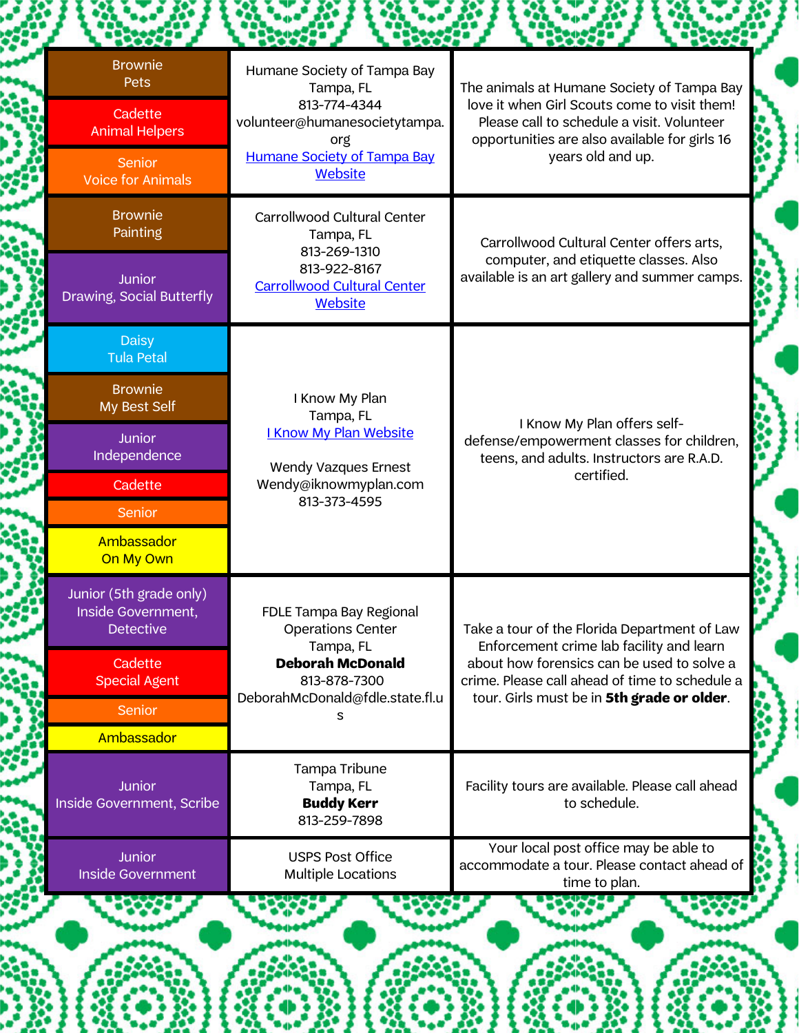| <b>Brownie</b><br>Pets                                            | Humane Society of Tampa Bay<br>Tampa, FL                                             | The animals at Humane Society of Tampa Bay                                                                                                  |
|-------------------------------------------------------------------|--------------------------------------------------------------------------------------|---------------------------------------------------------------------------------------------------------------------------------------------|
| Cadette<br><b>Animal Helpers</b>                                  | 813-774-4344<br>volunteer@humanesocietytampa.<br>org                                 | love it when Girl Scouts come to visit them!<br>Please call to schedule a visit. Volunteer<br>opportunities are also available for girls 16 |
| Senior<br><b>Voice for Animals</b>                                | <b>Humane Society of Tampa Bay</b><br><b>Website</b>                                 | years old and up.                                                                                                                           |
| <b>Brownie</b><br>Painting                                        | Carrollwood Cultural Center<br>Tampa, FL                                             | Carrollwood Cultural Center offers arts,                                                                                                    |
| Junior<br>Drawing, Social Butterfly                               | 813-269-1310<br>813-922-8167<br><b>Carrollwood Cultural Center</b><br><b>Website</b> | computer, and etiquette classes. Also<br>available is an art gallery and summer camps.                                                      |
| <b>Daisy</b><br><b>Tula Petal</b>                                 |                                                                                      |                                                                                                                                             |
| <b>Brownie</b><br>My Best Self                                    | I Know My Plan<br>Tampa, FL                                                          | I Know My Plan offers self-<br>defense/empowerment classes for children,<br>teens, and adults. Instructors are R.A.D.                       |
| <b>Junior</b><br>Independence                                     | <b>I Know My Plan Website</b><br>Wendy Vazques Ernest                                |                                                                                                                                             |
| Cadette                                                           | Wendy@iknowmyplan.com<br>813-373-4595                                                | certified.                                                                                                                                  |
| <b>Senior</b><br>Ambassador<br>On My Own                          |                                                                                      |                                                                                                                                             |
| Junior (5th grade only)<br>Inside Government,<br><b>Detective</b> | FDLE Tampa Bay Regional<br><b>Operations Center</b>                                  | Take a tour of the Florida Department of Law<br>Enforcement crime lab facility and learn                                                    |
| Cadette<br><b>Special Agent</b>                                   | Tampa, FL<br><b>Deborah McDonald</b><br>813-878-7300                                 | about how forensics can be used to solve a<br>crime. Please call ahead of time to schedule a                                                |
| <b>Senior</b>                                                     | DeborahMcDonald@fdle.state.fl.u<br>s                                                 | tour. Girls must be in 5th grade or older.                                                                                                  |
| Ambassador<br><b>Junior</b><br>Inside Government, Scribe          | Tampa Tribune<br>Tampa, FL<br><b>Buddy Kerr</b><br>813-259-7898                      | Facility tours are available. Please call ahead<br>to schedule.                                                                             |
| <b>Junior</b><br><b>Inside Government</b>                         | <b>USPS Post Office</b><br><b>Multiple Locations</b>                                 | Your local post office may be able to<br>accommodate a tour. Please contact ahead of<br>time to plan.                                       |

縢

H

藻

å

8

X

I.

8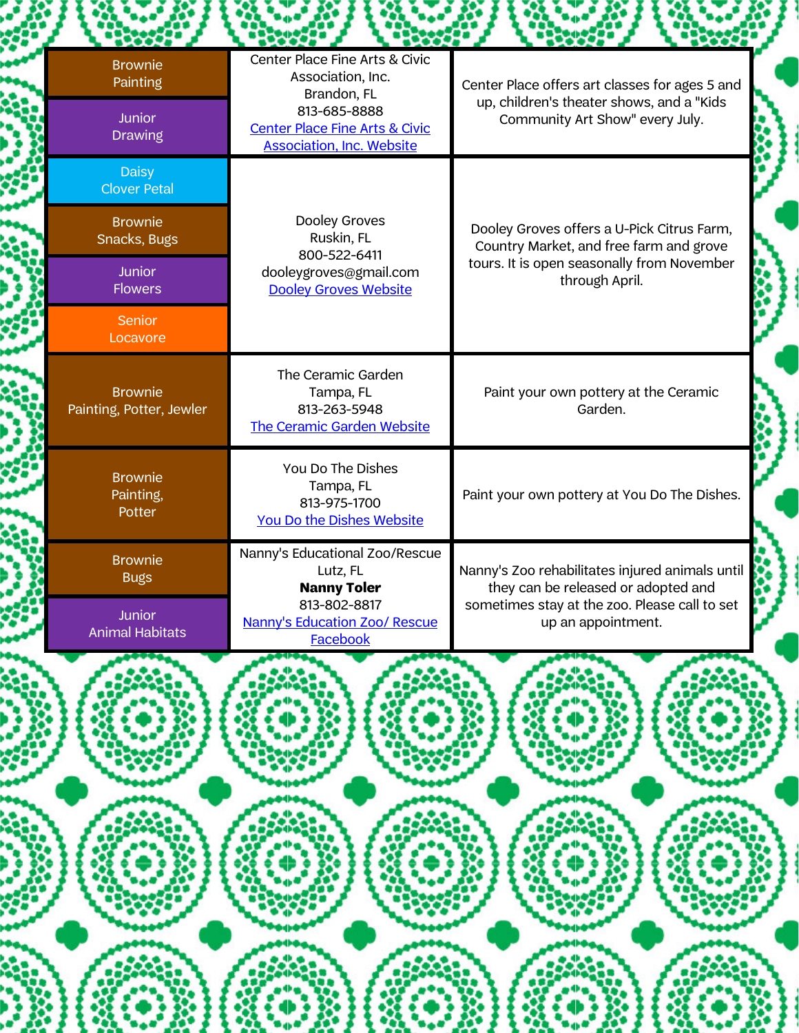| <b>Booth</b>                                                                                                            |                                                                                                                                                                     |                                                                                                                                                               |
|-------------------------------------------------------------------------------------------------------------------------|---------------------------------------------------------------------------------------------------------------------------------------------------------------------|---------------------------------------------------------------------------------------------------------------------------------------------------------------|
| <b>Brownie</b><br>Painting<br>Junior<br><b>Drawing</b>                                                                  | Center Place Fine Arts & Civic<br>Association, Inc.<br>Brandon, FL<br>813-685-8888<br><b>Center Place Fine Arts &amp; Civic</b><br><b>Association, Inc. Website</b> | Center Place offers art classes for ages 5 and<br>up, children's theater shows, and a "Kids<br>Community Art Show" every July.                                |
| <b>Daisy</b><br><b>Clover Petal</b><br><b>Brownie</b><br>Snacks, Bugs<br><b>Junior</b><br>Flowers<br>Senior<br>Locavore | Dooley Groves<br>Ruskin, FL<br>800-522-6411<br>dooleygroves@gmail.com<br><b>Dooley Groves Website</b>                                                               | Dooley Groves offers a U-Pick Citrus Farm,<br>Country Market, and free farm and grove<br>tours. It is open seasonally from November<br>through April.         |
| <b>Brownie</b><br>Painting, Potter, Jewler                                                                              | The Ceramic Garden<br>Tampa, FL<br>813-263-5948<br>The Ceramic Garden Website                                                                                       | Paint your own pottery at the Ceramic<br>Garden.                                                                                                              |
| <b>Brownie</b><br>Painting,<br>Potter                                                                                   | You Do The Dishes<br>Tampa, FL<br>813-975-1700<br>You Do the Dishes Website                                                                                         | Paint your own pottery at You Do The Dishes.                                                                                                                  |
| <b>Brownie</b><br><b>Bugs</b><br>Junior<br><b>Animal Habitats</b>                                                       | Nanny's Educational Zoo/Rescue<br>Lutz, FL<br><b>Nanny Toler</b><br>813-802-8817<br>Nanny's Education Zoo/ Rescue<br>Facebook                                       | Nanny's Zoo rehabilitates injured animals until<br>they can be released or adopted and<br>sometimes stay at the zoo. Please call to set<br>up an appointment. |
|                                                                                                                         |                                                                                                                                                                     |                                                                                                                                                               |
|                                                                                                                         |                                                                                                                                                                     |                                                                                                                                                               |
|                                                                                                                         |                                                                                                                                                                     |                                                                                                                                                               |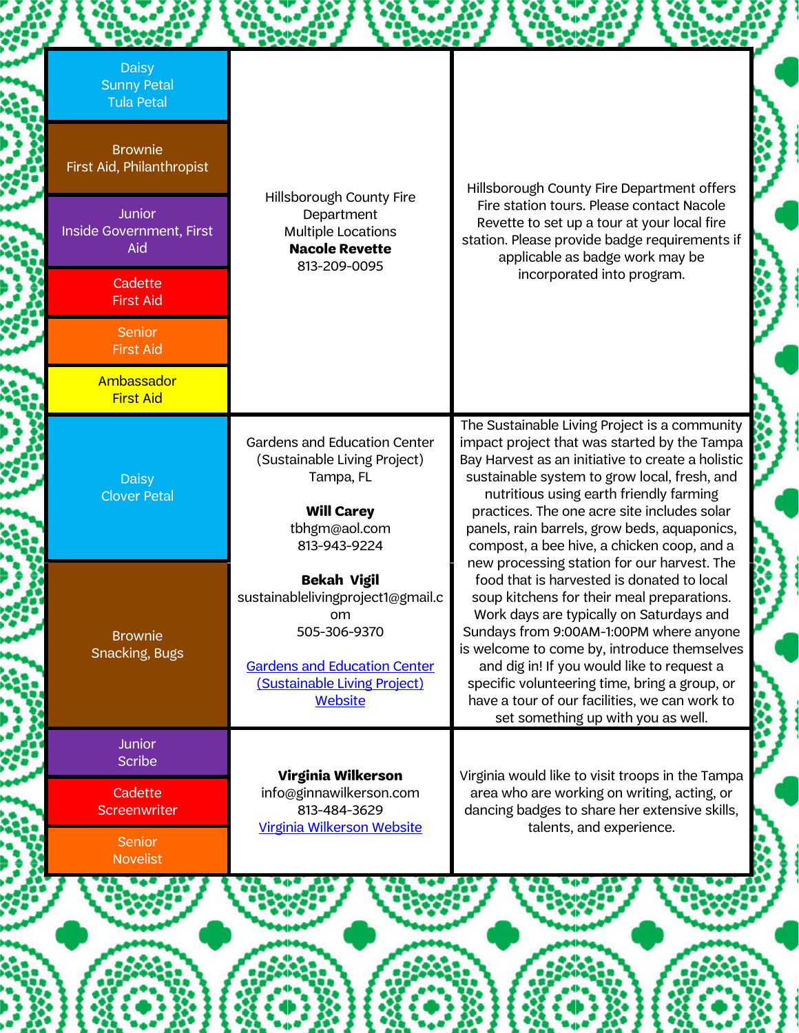| <b>Daisy</b><br><b>Sunny Petal</b><br><b>Tula Petal</b> |                                                                                              |                                                                                                                                                                                                                                               |
|---------------------------------------------------------|----------------------------------------------------------------------------------------------|-----------------------------------------------------------------------------------------------------------------------------------------------------------------------------------------------------------------------------------------------|
| <b>Brownie</b><br>First Aid, Philanthropist             |                                                                                              | Hillsborough County Fire Department offers                                                                                                                                                                                                    |
| <b>Junior</b><br>Inside Government, First<br>Aid        | Hillsborough County Fire<br>Department<br><b>Multiple Locations</b><br><b>Nacole Revette</b> | Fire station tours. Please contact Nacole<br>Revette to set up a tour at your local fire<br>station. Please provide badge requirements if<br>applicable as badge work may be                                                                  |
| Cadette<br><b>First Aid</b>                             | 813-209-0095                                                                                 | incorporated into program.                                                                                                                                                                                                                    |
| <b>Senior</b><br><b>First Aid</b>                       |                                                                                              |                                                                                                                                                                                                                                               |
| Ambassador<br><b>First Aid</b>                          |                                                                                              |                                                                                                                                                                                                                                               |
| <b>Daisy</b><br><b>Clover Petal</b>                     | <b>Gardens and Education Center</b><br>(Sustainable Living Project)<br>Tampa, FL             | The Sustainable Living Project is a community<br>impact project that was started by the Tampa<br>Bay Harvest as an initiative to create a holistic<br>sustainable system to grow local, fresh, and<br>nutritious using earth friendly farming |
|                                                         | <b>Will Carey</b><br>tbhgm@aol.com<br>813-943-9224                                           | practices. The one acre site includes solar<br>panels, rain barrels, grow beds, aquaponics,<br>compost, a bee hive, a chicken coop, and a<br>new processing station for our harvest. The                                                      |
| <b>Brownie</b>                                          | <b>Bekah Vigil</b><br>sustainablelivingproject1@gmail.c<br>om<br>505-306-9370                | food that is harvested is donated to local<br>soup kitchens for their meal preparations.<br>Work days are typically on Saturdays and<br>Sundays from 9:00AM-1:00PM where anyone<br>is welcome to come by, introduce themselves                |
| <b>Snacking, Bugs</b>                                   | <b>Gardens and Education Center</b><br>(Sustainable Living Project)<br><b>Website</b>        | and dig in! If you would like to request a<br>specific volunteering time, bring a group, or<br>have a tour of our facilities, we can work to<br>set something up with you as well.                                                            |
| <b>Junior</b><br><b>Scribe</b>                          | Virginia Wilkerson                                                                           | Virginia would like to visit troops in the Tampa                                                                                                                                                                                              |
| Cadette<br><b>Screenwriter</b>                          | info@ginnawilkerson.com<br>813-484-3629<br>Virginia Wilkerson Website                        | area who are working on writing, acting, or<br>dancing badges to share her extensive skills,<br>talents, and experience.                                                                                                                      |
| <b>Senior</b><br><b>Novelist</b>                        |                                                                                              |                                                                                                                                                                                                                                               |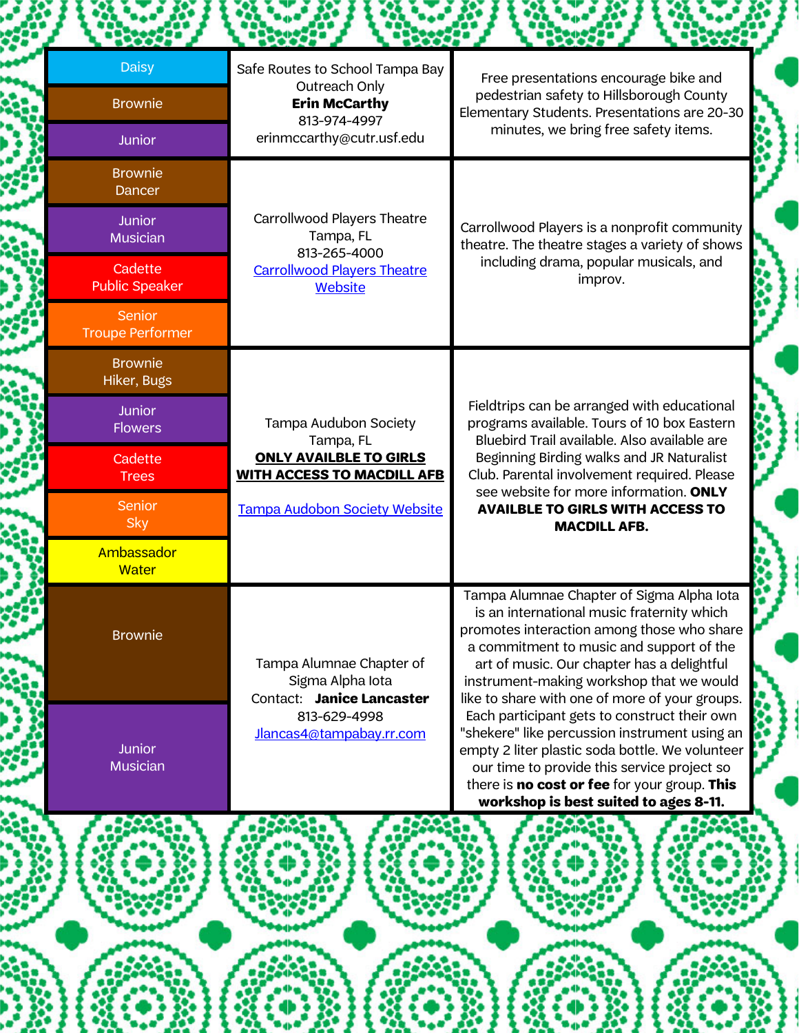| HXXXX                             | <b>DOOD</b>                                                                                                           |                                                                                                                                                                                                                                                                                                                               |
|-----------------------------------|-----------------------------------------------------------------------------------------------------------------------|-------------------------------------------------------------------------------------------------------------------------------------------------------------------------------------------------------------------------------------------------------------------------------------------------------------------------------|
| <b>Daisy</b>                      | Safe Routes to School Tampa Bay<br>Outreach Only                                                                      | Free presentations encourage bike and                                                                                                                                                                                                                                                                                         |
| <b>Brownie</b>                    | <b>Erin McCarthy</b><br>813-974-4997                                                                                  | pedestrian safety to Hillsborough County<br>Elementary Students. Presentations are 20-30                                                                                                                                                                                                                                      |
| <b>Junior</b>                     | erinmccarthy@cutr.usf.edu                                                                                             | minutes, we bring free safety items.                                                                                                                                                                                                                                                                                          |
| <b>Brownie</b><br>Dancer          |                                                                                                                       |                                                                                                                                                                                                                                                                                                                               |
| <b>Junior</b><br><b>Musician</b>  | Carrollwood Players Theatre<br>Tampa, FL<br>813-265-4000                                                              | Carrollwood Players is a nonprofit community<br>theatre. The theatre stages a variety of shows                                                                                                                                                                                                                                |
| Cadette<br><b>Public Speaker</b>  | <b>Carrollwood Players Theatre</b><br><b>Website</b>                                                                  | including drama, popular musicals, and<br>improv.                                                                                                                                                                                                                                                                             |
| Senior<br><b>Troupe Performer</b> |                                                                                                                       |                                                                                                                                                                                                                                                                                                                               |
| <b>Brownie</b><br>Hiker, Bugs     |                                                                                                                       | Fieldtrips can be arranged with educational<br>programs available. Tours of 10 box Eastern<br>Bluebird Trail available. Also available are<br>Beginning Birding walks and JR Naturalist<br>Club. Parental involvement required. Please<br>see website for more information. ONLY                                              |
| <b>Junior</b><br><b>Flowers</b>   | Tampa Audubon Society<br>Tampa, FL                                                                                    |                                                                                                                                                                                                                                                                                                                               |
| Cadette<br><b>Trees</b>           | <b>ONLY AVAILBLE TO GIRLS</b><br><b>WITH ACCESS TO MACDILL AFB</b>                                                    |                                                                                                                                                                                                                                                                                                                               |
| Senior<br><b>Sky</b>              | Tampa Audobon Society Website                                                                                         | <b>AVAILBLE TO GIRLS WITH ACCESS TO</b><br><b>MACDILL AFB.</b>                                                                                                                                                                                                                                                                |
| Ambassador<br><b>Water</b>        |                                                                                                                       |                                                                                                                                                                                                                                                                                                                               |
| <b>Brownie</b>                    | Tampa Alumnae Chapter of<br>Sigma Alpha Iota<br>Contact: Janice Lancaster<br>813-629-4998<br>Jlancas4@tampabay.rr.com | Tampa Alumnae Chapter of Sigma Alpha Iota<br>is an international music fraternity which<br>promotes interaction among those who share<br>a commitment to music and support of the<br>art of music. Our chapter has a delightful<br>instrument-making workshop that we would<br>like to share with one of more of your groups. |
| <b>Junior</b><br><b>Musician</b>  |                                                                                                                       | Each participant gets to construct their own<br>"shekere" like percussion instrument using an<br>empty 2 liter plastic soda bottle. We volunteer<br>our time to provide this service project so<br>there is no cost or fee for your group. This<br>workshop is best suited to ages 8-11.                                      |

Ŵ

æ,

87